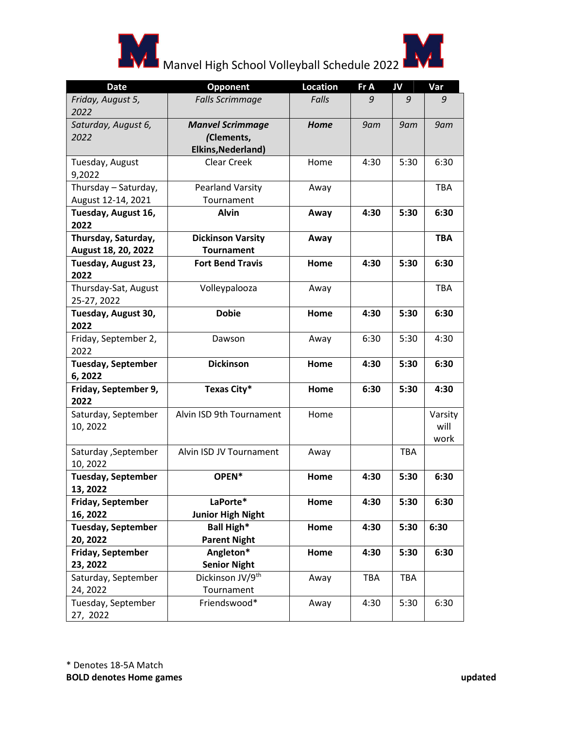



## Manvel High School Volleyball Schedule 2022

| <b>Date</b>                         | <b>Opponent</b>              | <b>Location</b> | Fr A       | JV         | Var        |
|-------------------------------------|------------------------------|-----------------|------------|------------|------------|
| Friday, August 5,                   | <b>Falls Scrimmage</b>       | Falls           | 9          | 9          | 9          |
| 2022                                |                              |                 |            |            |            |
| Saturday, August 6,                 | <b>Manvel Scrimmage</b>      | Home            | 9am        | 9am        | 9am        |
| 2022                                | (Clements,                   |                 |            |            |            |
|                                     | Elkins, Nederland)           |                 |            |            |            |
| Tuesday, August                     | <b>Clear Creek</b>           | Home            | 4:30       | 5:30       | 6:30       |
| 9,2022                              |                              |                 |            |            |            |
| Thursday - Saturday,                | <b>Pearland Varsity</b>      | Away            |            |            | <b>TBA</b> |
| August 12-14, 2021                  | Tournament                   |                 |            |            |            |
| Tuesday, August 16,                 | <b>Alvin</b>                 | Away            | 4:30       | 5:30       | 6:30       |
| 2022                                |                              |                 |            |            |            |
| Thursday, Saturday,                 | <b>Dickinson Varsity</b>     | Away            |            |            | <b>TBA</b> |
| August 18, 20, 2022                 | <b>Tournament</b>            |                 |            |            |            |
| Tuesday, August 23,<br>2022         | <b>Fort Bend Travis</b>      | Home            | 4:30       | 5:30       | 6:30       |
| Thursday-Sat, August<br>25-27, 2022 | Volleypalooza                | Away            |            |            | TBA        |
| Tuesday, August 30,                 | <b>Dobie</b>                 | Home            | 4:30       | 5:30       | 6:30       |
| 2022                                |                              |                 |            |            |            |
| Friday, September 2,                | Dawson                       | Away            | 6:30       | 5:30       | 4:30       |
| 2022                                |                              |                 |            |            |            |
| <b>Tuesday, September</b>           | <b>Dickinson</b>             | Home            | 4:30       | 5:30       | 6:30       |
| 6, 2022                             |                              |                 |            |            |            |
| Friday, September 9,<br>2022        | Texas City*                  | Home            | 6:30       | 5:30       | 4:30       |
| Saturday, September                 | Alvin ISD 9th Tournament     | Home            |            |            | Varsity    |
| 10, 2022                            |                              |                 |            |            | will       |
|                                     |                              |                 |            |            | work       |
| Saturday , September<br>10, 2022    | Alvin ISD JV Tournament      | Away            |            | <b>TBA</b> |            |
| <b>Tuesday, September</b>           | OPEN*                        | Home            | 4:30       | 5:30       | 6:30       |
| 13, 2022                            |                              |                 |            |            |            |
| Friday, September                   | LaPorte*                     | Home            | 4:30       | 5:30       | 6:30       |
| 16, 2022                            | <b>Junior High Night</b>     |                 |            |            |            |
| <b>Tuesday, September</b>           | Ball High*                   | Home            | 4:30       | 5:30       | 6:30       |
| 20, 2022                            | <b>Parent Night</b>          |                 |            |            |            |
| <b>Friday, September</b>            | Angleton*                    | Home            | 4:30       | 5:30       | 6:30       |
| 23, 2022                            | <b>Senior Night</b>          |                 |            |            |            |
| Saturday, September                 | Dickinson JV/9 <sup>th</sup> | Away            | <b>TBA</b> | <b>TBA</b> |            |
| 24, 2022                            | Tournament                   |                 |            |            |            |
| Tuesday, September                  | Friendswood*                 | Away            | 4:30       | 5:30       | 6:30       |
| 27, 2022                            |                              |                 |            |            |            |